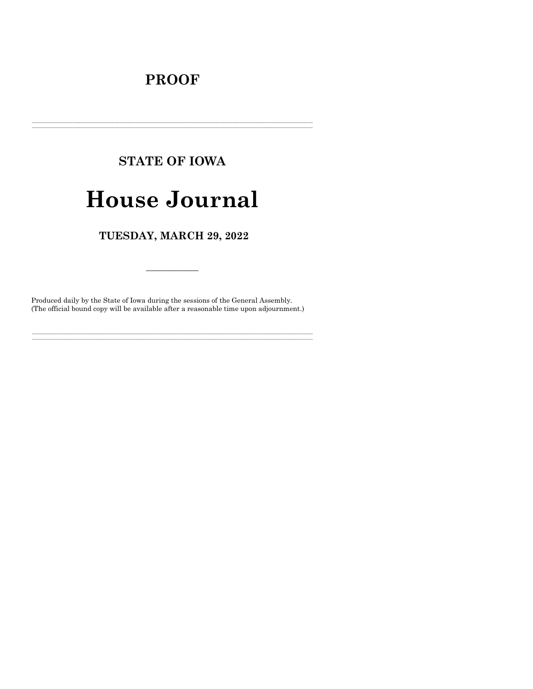# **PROOF**

# **STATE OF IOWA**

# **House Journal**

TUESDAY, MARCH 29, 2022

Produced daily by the State of Iowa during the sessions of the General Assembly. (The official bound copy will be available after a reasonable time upon adjournment.)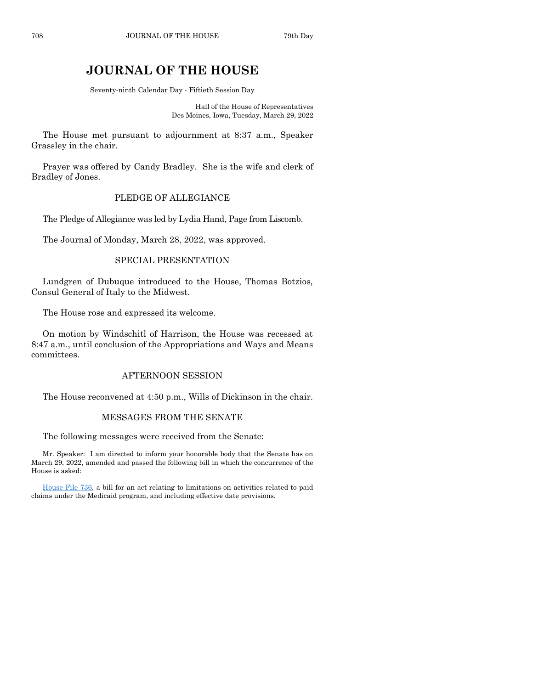# **JOURNAL OF THE HOUSE**

Seventy-ninth Calendar Day - Fiftieth Session Day

Hall of the House of Representatives Des Moines, Iowa, Tuesday, March 29, 2022

The House met pursuant to adjournment at 8:37 a.m., Speaker Grassley in the chair.

Prayer was offered by Candy Bradley. She is the wife and clerk of Bradley of Jones.

#### PLEDGE OF ALLEGIANCE

The Pledge of Allegiance was led by Lydia Hand, Page from Liscomb.

The Journal of Monday, March 28, 2022, was approved.

## SPECIAL PRESENTATION

Lundgren of Dubuque introduced to the House, Thomas Botzios, Consul General of Italy to the Midwest.

The House rose and expressed its welcome.

On motion by Windschitl of Harrison, the House was recessed at 8:47 a.m., until conclusion of the Appropriations and Ways and Means committees.

#### AFTERNOON SESSION

The House reconvened at 4:50 p.m., Wills of Dickinson in the chair.

#### MESSAGES FROM THE SENATE

The following messages were received from the Senate:

Mr. Speaker: I am directed to inform your honorable body that the Senate has on March 29, 2022, amended and passed the following bill in which the concurrence of the House is asked:

[House File 736,](https://www.legis.iowa.gov/legislation/BillBook?ga=89&ba=HF736) a bill for an act relating to limitations on activities related to paid claims under the Medicaid program, and including effective date provisions.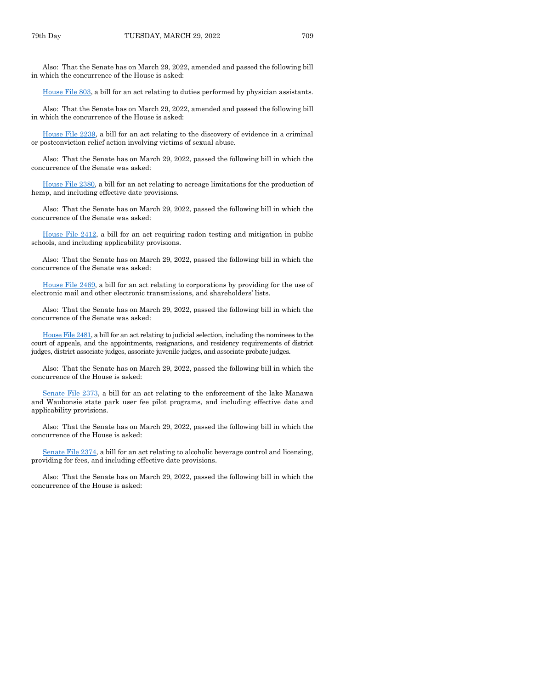Also: That the Senate has on March 29, 2022, amended and passed the following bill in which the concurrence of the House is asked:

[House File 803,](https://www.legis.iowa.gov/legislation/BillBook?ga=89&ba=HF803) a bill for an act relating to duties performed by physician assistants.

Also: That the Senate has on March 29, 2022, amended and passed the following bill in which the concurrence of the House is asked:

[House File 2239,](https://www.legis.iowa.gov/legislation/BillBook?ga=89&ba=HF2239) a bill for an act relating to the discovery of evidence in a criminal or postconviction relief action involving victims of sexual abuse.

Also: That the Senate has on March 29, 2022, passed the following bill in which the concurrence of the Senate was asked:

[House File 2380,](https://www.legis.iowa.gov/legislation/BillBook?ga=89&ba=HF2380) a bill for an act relating to acreage limitations for the production of hemp, and including effective date provisions.

Also: That the Senate has on March 29, 2022, passed the following bill in which the concurrence of the Senate was asked:

[House File 2412,](https://www.legis.iowa.gov/legislation/BillBook?ga=89&ba=HF2412) a bill for an act requiring radon testing and mitigation in public schools, and including applicability provisions.

Also: That the Senate has on March 29, 2022, passed the following bill in which the concurrence of the Senate was asked:

[House File 2469,](https://www.legis.iowa.gov/legislation/BillBook?ga=89&ba=HF2469) a bill for an act relating to corporations by providing for the use of electronic mail and other electronic transmissions, and shareholders' lists.

Also: That the Senate has on March 29, 2022, passed the following bill in which the concurrence of the Senate was asked:

[House File 2481,](https://www.legis.iowa.gov/legislation/BillBook?ga=89&ba=HF2481) a bill for an act relating to judicial selection, including the nominees to the court of appeals, and the appointments, resignations, and residency requirements of district judges, district associate judges, associate juvenile judges, and associate probate judges.

Also: That the Senate has on March 29, 2022, passed the following bill in which the concurrence of the House is asked:

[Senate File 2373,](https://www.legis.iowa.gov/legislation/BillBook?ga=89&ba=SF2373) a bill for an act relating to the enforcement of the lake Manawa and Waubonsie state park user fee pilot programs, and including effective date and applicability provisions.

Also: That the Senate has on March 29, 2022, passed the following bill in which the concurrence of the House is asked:

[Senate File 2374,](https://www.legis.iowa.gov/legislation/BillBook?ga=89&ba=SF2374) a bill for an act relating to alcoholic beverage control and licensing, providing for fees, and including effective date provisions.

Also: That the Senate has on March 29, 2022, passed the following bill in which the concurrence of the House is asked: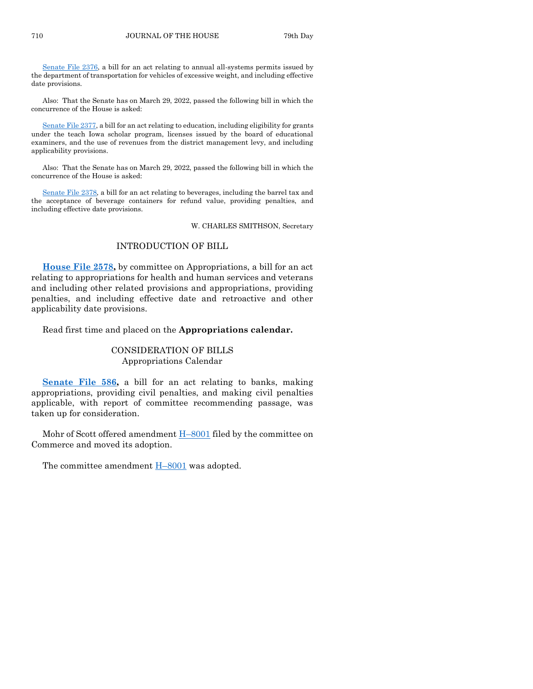[Senate File 2376,](https://www.legis.iowa.gov/legislation/BillBook?ga=89&ba=SF2376) a bill for an act relating to annual all-systems permits issued by the department of transportation for vehicles of excessive weight, and including effective date provisions.

Also: That the Senate has on March 29, 2022, passed the following bill in which the concurrence of the House is asked:

[Senate File 2377,](https://www.legis.iowa.gov/legislation/BillBook?ga=89&ba=SF2377) a bill for an act relating to education, including eligibility for grants under the teach Iowa scholar program, licenses issued by the board of educational examiners, and the use of revenues from the district management levy, and including applicability provisions.

Also: That the Senate has on March 29, 2022, passed the following bill in which the concurrence of the House is asked:

[Senate File 2378,](https://www.legis.iowa.gov/legislation/BillBook?ga=89&ba=SF2378) a bill for an act relating to beverages, including the barrel tax and the acceptance of beverage containers for refund value, providing penalties, and including effective date provisions.

W. CHARLES SMITHSON, Secretary

#### INTRODUCTION OF BILL

**[House File 2578,](https://www.legis.iowa.gov/legislation/BillBook?ga=89&ba=HF2578)** by committee on Appropriations, a bill for an act relating to appropriations for health and human services and veterans and including other related provisions and appropriations, providing penalties, and including effective date and retroactive and other applicability date provisions.

Read first time and placed on the **Appropriations calendar.**

#### CONSIDERATION OF BILLS Appropriations Calendar

[Senate File 586,](https://www.legis.iowa.gov/legislation/BillBook?ga=89&ba=SF586) a bill for an act relating to banks, making appropriations, providing civil penalties, and making civil penalties applicable, with report of committee recommending passage, was taken up for consideration.

Mohr of Scott offered amendment  $H-8001$  $H-8001$  filed by the committee on Commerce and moved its adoption.

The committee amendment H–[8001](https://www.legis.iowa.gov/legislation/BillBook?ga=89&ba=H8001) was adopted.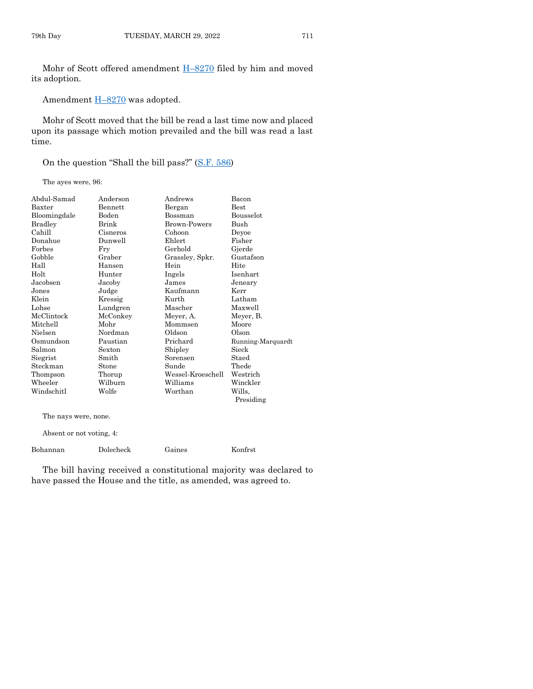Mohr of Scott offered amendment H–[8270](https://www.legis.iowa.gov/legislation/BillBook?ga=89&ba=H8270) filed by him and moved its adoption.

Amendment  $H=8270$  $H=8270$  was adopted.

Mohr of Scott moved that the bill be read a last time now and placed upon its passage which motion prevailed and the bill was read a last time.

On the question "Shall the bill pass?" [\(S.F. 586\)](https://www.legis.iowa.gov/legislation/BillBook?ga=89&ba=SF586)

The ayes were, 96:

| Abdul-Samad  | Anderson | Andrews             | Bacon             |
|--------------|----------|---------------------|-------------------|
| Baxter       | Bennett  | Bergan              | $_{\rm Best}$     |
| Bloomingdale | Boden    | Bossman             | Bousselot         |
| Bradley      | Brink    | <b>Brown-Powers</b> | Bush              |
| Cahill       | Cisneros | Cohoon              | Deyoe             |
| Donahue      | Dunwell  | Ehlert              | Fisher            |
| Forbes       | Fry      | Gerhold             | Gjerde            |
| Gobble       | Graber   | Grassley, Spkr.     | Gustafson         |
| Hall         | Hansen   | Hein                | Hite              |
| Holt         | Hunter   | Ingels              | Isenhart          |
| Jacobsen     | Jacoby   | James               | Jeneary           |
| Jones        | Judge    | Kaufmann            | Kerr              |
| Klein        | Kressig  | Kurth               | Latham            |
| Lohse        | Lundgren | Mascher             | Maxwell           |
| McClintock   | McConkey | Meyer, A.           | Meyer, B.         |
| Mitchell     | Mohr     | Mommsen             | Moore             |
| Nielsen      | Nordman  | Oldson              | Olson             |
| Osmundson    | Paustian | Prichard            | Running-Marquardt |
| Salmon       | Sexton   | Shipley             | Sieck             |
| Siegrist     | Smith    | Sorensen            | Staed             |
| Steckman     | Stone    | Sunde               | Thede             |
| Thompson     | Thorup   | Wessel-Kroeschell   | Westrich          |
| Wheeler      | Wilburn  | Williams            | Winckler          |
| Windschitl   | Wolfe    | Worthan             | Wills.            |
|              |          |                     | Presiding         |
|              |          |                     |                   |

The nays were, none.

Absent or not voting, 4:

|  | Bohannan | Dolecheck | Gaines | Konfrst |
|--|----------|-----------|--------|---------|
|--|----------|-----------|--------|---------|

The bill having received a constitutional majority was declared to have passed the House and the title, as amended, was agreed to.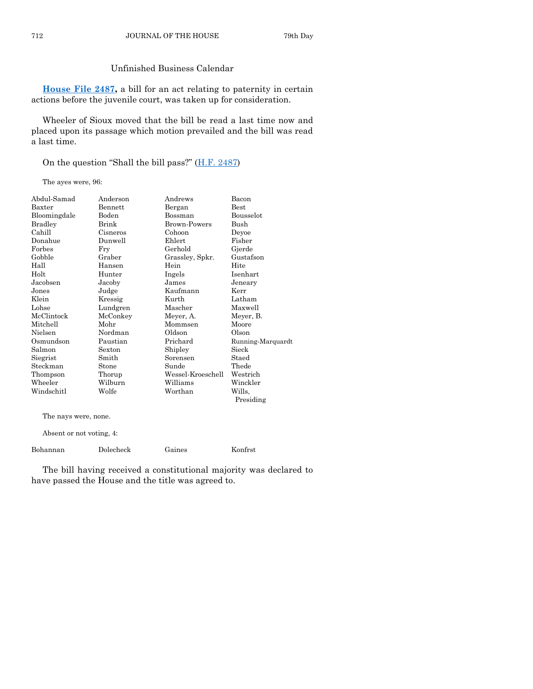#### Unfinished Business Calendar

**[House File 2487,](https://www.legis.iowa.gov/legislation/BillBook?ga=89&ba=HF2487)** a bill for an act relating to paternity in certain actions before the juvenile court, was taken up for consideration.

Wheeler of Sioux moved that the bill be read a last time now and placed upon its passage which motion prevailed and the bill was read a last time.

On the question "Shall the bill pass?" [\(H.F. 2487\)](https://www.legis.iowa.gov/legislation/BillBook?ga=89&ba=HF2487)

The ayes were, 96:

| Best                          |
|-------------------------------|
| Bousselot                     |
| Bush                          |
| Devoe                         |
| Fisher                        |
| Gjerde                        |
| Gustafson                     |
| Hite                          |
| Isenhart                      |
| Jeneary                       |
| Kerr                          |
| Latham                        |
| Maxwell                       |
| Meyer, B.                     |
| Moore                         |
| Olson                         |
| Running-Marquardt             |
| Sieck                         |
| Staed                         |
| Thede                         |
| Wessel-Kroeschell<br>Westrich |
| Winckler                      |
| Wills.                        |
| Presiding                     |
|                               |

The nays were, none.

Absent or not voting, 4:

| Bohannan | Dolecheck | Gaines | Konfrst |
|----------|-----------|--------|---------|
|          |           |        |         |

The bill having received a constitutional majority was declared to have passed the House and the title was agreed to.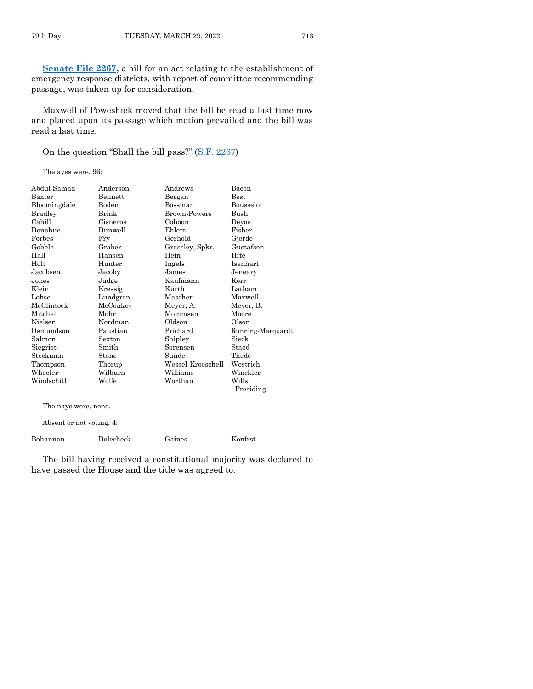[Senate File 2267,](https://www.legis.iowa.gov/legislation/BillBook?ga=89&ba=SF2267) a bill for an act relating to the establishment of emergency response districts, with report of committee recommending passage, was taken up for consideration.

Maxwell of Poweshiek moved that the bill be read a last time now and placed upon its passage which motion prevailed and the bill was read a last time.

On the question "Shall the bill pass?" [\(S.F. 2267\)](https://www.legis.iowa.gov/legislation/BillBook?ga=89&ba=SF2267)

The ayes were, 96:

| Abdul-Samad  | Anderson | Andrews             | Bacon             |
|--------------|----------|---------------------|-------------------|
| Baxter       | Bennett  | Bergan              | Best              |
| Bloomingdale | Boden    | Bossman             | Bousselot         |
| Bradley      | Brink    | <b>Brown-Powers</b> | Bush              |
| Cahill       | Cisneros | Cohoon              | Deyoe             |
| Donahue      | Dunwell  | Ehlert              | Fisher            |
| Forbes       | Fry      | Gerhold             | Gjerde            |
| Gobble       | Graber   | Grassley, Spkr.     | Gustafson         |
| Hall         | Hansen   | Hein                | Hite              |
| Holt         | Hunter   | Ingels              | Isenhart          |
| Jacobsen     | Jacoby   | James               | Jeneary           |
| Jones        | Judge    | Kaufmann            | Kerr              |
| Klein        | Kressig  | Kurth               | Latham            |
| Lohse        | Lundgren | Mascher             | Maxwell           |
| McClintock   | McConkey | Meyer, A.           | Meyer, B.         |
| Mitchell     | Mohr     | Mommsen             | Moore             |
| Nielsen      | Nordman  | Oldson              | Olson             |
| Osmundson    | Paustian | Prichard            | Running-Marquardt |
| Salmon       | Sexton   | Shipley             | Sieck             |
| Siegrist     | Smith    | Sorensen            | Staed             |
| Steckman     | Stone    | Sunde               | Thede             |
| Thompson     | Thorup   | Wessel-Kroeschell   | Westrich          |
| Wheeler      | Wilburn  | Williams            | Winckler          |
| Windschitl   | Wolfe    | Worthan             | Wills.            |
|              |          |                     | Presiding         |

The nays were, none.

Absent or not voting, 4:

Bohannan Dolecheck Gaines Konfrst

The bill having received a constitutional majority was declared to have passed the House and the title was agreed to.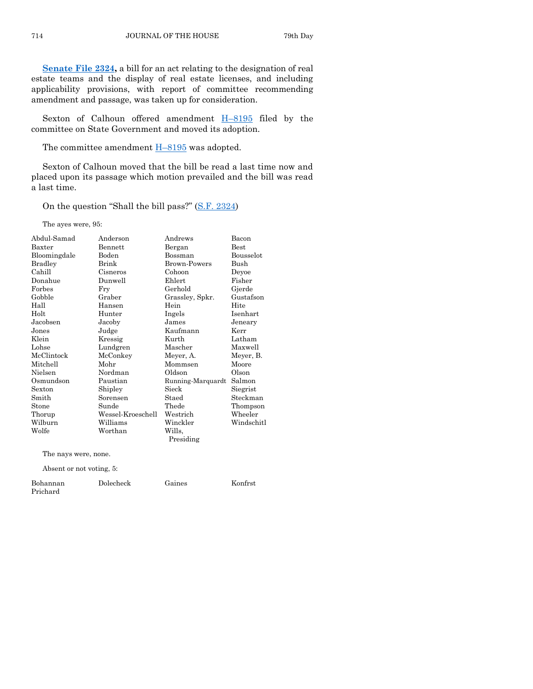**[Senate File 2324,](https://www.legis.iowa.gov/legislation/BillBook?ga=89&ba=SF2324)** a bill for an act relating to the designation of real estate teams and the display of real estate licenses, and including applicability provisions, with report of committee recommending amendment and passage, was taken up for consideration.

Sexton of Calhoun offered amendment  $H-8195$  $H-8195$  filed by the committee on State Government and moved its adoption.

The committee amendment  $H-8195$  $H-8195$  was adopted.

Sexton of Calhoun moved that the bill be read a last time now and placed upon its passage which motion prevailed and the bill was read a last time.

On the question "Shall the bill pass?" [\(S.F. 2324\)](https://www.legis.iowa.gov/legislation/BillBook?ga=89&ba=SF2324)

The ayes were, 95:

| Abdul-Samad    | Anderson          | Andrews             | Bacon       |
|----------------|-------------------|---------------------|-------------|
| Baxter         | Bennett           | Bergan              | <b>Best</b> |
| Bloomingdale   | Boden             | Bossman             | Bousselot   |
| <b>Bradley</b> | Brink             | <b>Brown-Powers</b> | Bush        |
| Cahill         | Cisneros          | Cohoon              | Deyoe       |
| Donahue        | Dunwell           | Ehlert              | Fisher      |
| Forbes         | Fry               | Gerhold             | Gjerde      |
| Gobble         | Graber            | Grassley, Spkr.     | Gustafson   |
| Hall           | Hansen            | Hein                | Hite        |
| Holt           | Hunter            | Ingels              | Isenhart    |
| Jacobsen       | Jacoby            | James               | Jeneary     |
| Jones          | Judge             | Kaufmann            | Kerr        |
| Klein          | Kressig           | Kurth               | Latham      |
| Lohse          | Lundgren          | Mascher             | Maxwell     |
| McClintock     | McConkey          | Meyer, A.           | Meyer, B.   |
| Mitchell       | Mohr              | Mommsen             | Moore       |
| Nielsen        | Nordman           | Oldson              | Olson       |
| Osmundson      | Paustian          | Running-Marquardt   | Salmon      |
| Sexton         | Shipley           | Sieck               | Siegrist    |
| Smith          | Sorensen          | Staed               | Steckman    |
| Stone          | Sunde             | Thede               | Thompson    |
| Thorup         | Wessel-Kroeschell | Westrich            | Wheeler     |
| Wilburn        | Williams          | Winckler            | Windschitl  |
| Wolfe          | Worthan           | Wills.              |             |
|                |                   | Presiding           |             |
|                |                   |                     |             |

The nays were, none.

Absent or not voting, 5:

| Bohannan | Dolecheck | Gaines | Konfrst |
|----------|-----------|--------|---------|
| Prichard |           |        |         |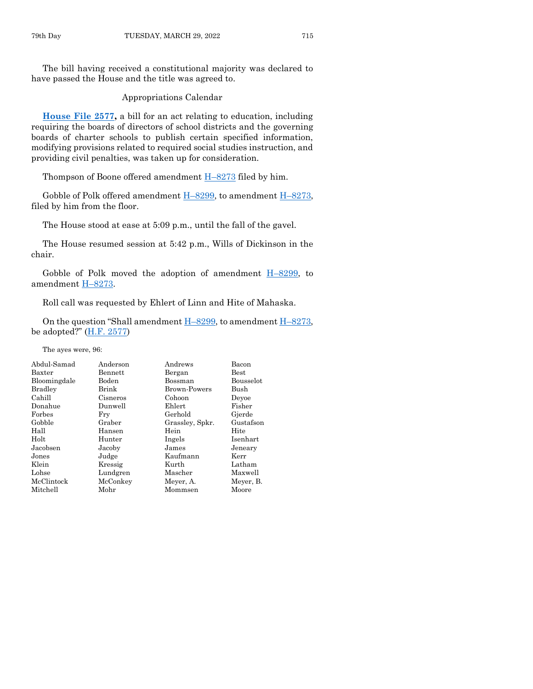The bill having received a constitutional majority was declared to have passed the House and the title was agreed to.

Appropriations Calendar

**[House File 2577,](https://www.legis.iowa.gov/legislation/BillBook?ga=89&ba=HF2577)** a bill for an act relating to education, including requiring the boards of directors of school districts and the governing boards of charter schools to publish certain specified information, modifying provisions related to required social studies instruction, and providing civil penalties, was taken up for consideration.

Thompson of Boone offered amendment  $H-8273$  $H-8273$  filed by him.

Gobble of Polk offered amendment  $H-8299$ , to amendment  $H-8273$ , filed by him from the floor.

The House stood at ease at 5:09 p.m., until the fall of the gavel.

The House resumed session at 5:42 p.m., Wills of Dickinson in the chair.

Gobble of Polk moved the adoption of amendment  $H-8299$ , to amendment H–[8273.](https://www.legis.iowa.gov/legislation/BillBook?ga=89&ba=H8273)

Roll call was requested by Ehlert of Linn and Hite of Mahaska.

On the question "Shall amendment H–[8299,](https://www.legis.iowa.gov/legislation/BillBook?ga=89&ba=H8299) to amendment H–[8273,](https://www.legis.iowa.gov/legislation/BillBook?ga=89&ba=H8273) be adopted?"  $(H.F. 2577)$  $(H.F. 2577)$ 

The ayes were, 96:

| Abdul-Samad    | Anderson | Andrews             | Bacon         |
|----------------|----------|---------------------|---------------|
| Baxter         | Bennett  | Bergan              | $_{\rm Best}$ |
| Bloomingdale   | Boden    | Bossman             | Bousselot     |
| <b>Bradley</b> | Brink    | <b>Brown-Powers</b> | Bush          |
| Cahill         | Cisneros | Cohoon              | Devoe         |
| Donahue        | Dunwell  | Ehlert              | Fisher        |
| Forbes         | Fry      | Gerhold             | Gjerde        |
| Gobble         | Graber   | Grassley, Spkr.     | Gustafson     |
| Hall           | Hansen   | Hein                | Hite          |
| Holt           | Hunter   | Ingels              | Isenhart      |
| Jacobsen       | Jacoby   | James               | Jeneary       |
| Jones          | Judge    | Kaufmann            | Kerr          |
| Klein          | Kressig  | Kurth               | Latham        |
| Lohse          | Lundgren | Mascher             | Maxwell       |
| McClintock     | McConkey | Meyer, A.           | Meyer, B.     |
| Mitchell       | Mohr     | Mommsen             | Moore         |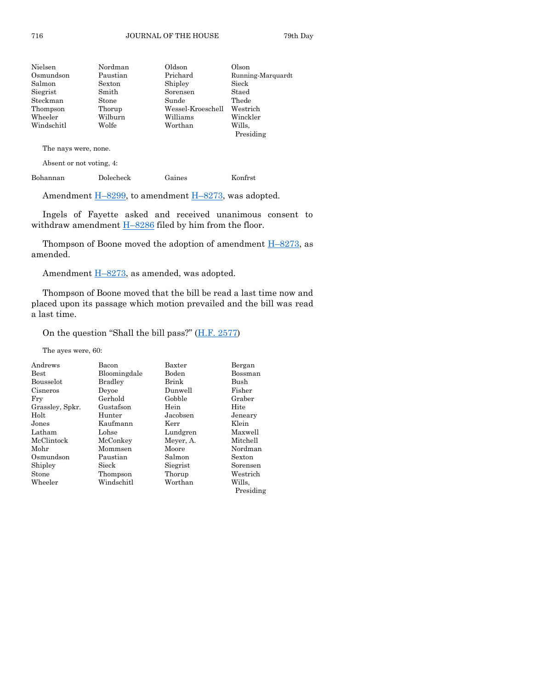| Nielsen    | Nordman  | Oldson            | Olson               |
|------------|----------|-------------------|---------------------|
| Osmundson  | Paustian | Prichard          | Running-Marquardt   |
| Salmon     | Sexton   | Shipley           | Sieck               |
| Siegrist   | Smith    | Sorensen          | Staed               |
| Steckman   | Stone    | Sunde             | Thede               |
| Thompson   | Thorup   | Wessel-Kroeschell | Westrich            |
| Wheeler    | Wilburn  | Williams          | Winckler            |
| Windschitl | Wolfe    | Worthan           | Wills.<br>Presiding |
|            |          |                   |                     |

The nays were, none.

Absent or not voting, 4:

Bohannan Dolecheck Gaines Konfrst

Amendment  $\underline{H-8299}$ , to amendment  $\underline{H-8273}$ , was adopted.

Ingels of Fayette asked and received unanimous consent to withdraw amendment  $H-8286$  $H-8286$  filed by him from the floor.

Thompson of Boone moved the adoption of amendment  $H-8273$ , as amended.

Amendment H–[8273,](https://www.legis.iowa.gov/legislation/BillBook?ga=89&ba=H8273) as amended, was adopted.

Thompson of Boone moved that the bill be read a last time now and placed upon its passage which motion prevailed and the bill was read a last time.

On the question "Shall the bill pass?"  $(H.F. 2577)$ 

The ayes were, 60:

| Andrews         | Bacon          | Baxter    | Bergan        |
|-----------------|----------------|-----------|---------------|
| <b>Best</b>     | Bloomingdale   | Boden     | Bossman       |
| Bousselot       | <b>Bradley</b> | Brink     | Bush          |
| Cisneros        | Devoe          | Dunwell   | Fisher        |
| Fry             | Gerhold        | Gobble    | Graber        |
| Grassley, Spkr. | Gustafson      | Hein      | Hite          |
| Holt            | Hunter         | Jacobsen  | Jeneary       |
| Jones           | Kaufmann       | Kerr      | Klein         |
| Latham          | Lohse          | Lundgren  | Maxwell       |
| McClintock      | McConkey       | Meyer, A. | Mitchell      |
| Mohr            | Mommsen        | Moore     | Nordman       |
| Osmundson       | Paustian       | Salmon    | <b>Sexton</b> |
| Shipley         | Sieck          | Siegrist  | Sorensen      |
| Stone           | Thompson       | Thorup    | Westrich      |
| Wheeler         | Windschitl     | Worthan   | Wills.        |
|                 |                |           | Presiding     |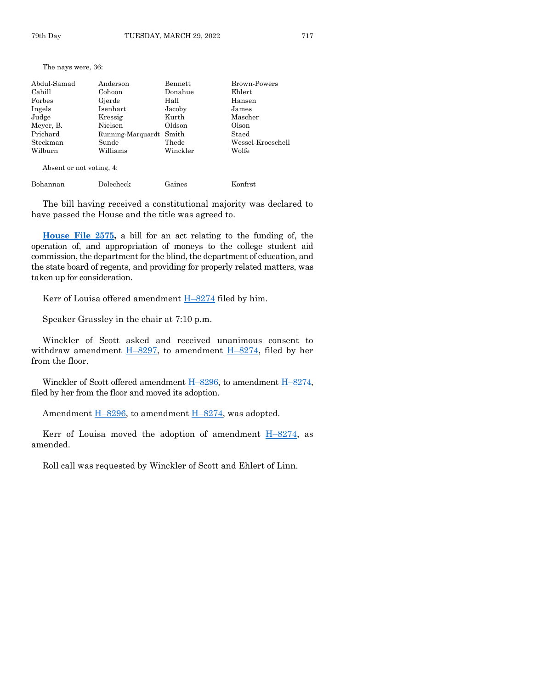The nays were, 36:

| Abdul-Samad | Anderson                | Bennett  | <b>Brown-Powers</b> |
|-------------|-------------------------|----------|---------------------|
| Cahill      | Cohoon                  | Donahue  | Ehlert              |
| Forbes      | Gjerde                  | Hall     | Hansen              |
| Ingels      | Isenhart                | Jacoby   | James               |
| Judge       | Kressig                 | Kurth    | Mascher             |
| Meyer, B.   | Nielsen                 | Oldson   | Olson               |
| Prichard    | Running-Marquardt Smith |          | Staed               |
| Steckman    | Sunde                   | Thede    | Wessel-Kroeschell   |
| Wilburn     | Williams                | Winckler | Wolfe               |
|             |                         |          |                     |

Absent or not voting, 4:

| Bohannan<br>Dolecheck | Gaines | Konfrst |
|-----------------------|--------|---------|
|-----------------------|--------|---------|

The bill having received a constitutional majority was declared to have passed the House and the title was agreed to.

**[House File 2575,](https://www.legis.iowa.gov/legislation/BillBook?ga=89&ba=HF2575)** a bill for an act relating to the funding of, the operation of, and appropriation of moneys to the college student aid commission, the department for the blind, the department of education, and the state board of regents, and providing for properly related matters, was taken up for consideration.

Kerr of Louisa offered amendment  $H-8274$  $H-8274$  filed by him.

Speaker Grassley in the chair at 7:10 p.m.

Winckler of Scott asked and received unanimous consent to withdraw amendment H–[8297,](https://www.legis.iowa.gov/legislation/BillBook?ga=89&ba=H8297) to amendment H–[8274,](https://www.legis.iowa.gov/legislation/BillBook?ga=89&ba=H8274) filed by her from the floor.

Winckler of Scott offered amendment  $H-8296$ , to amendment  $H-8274$ , filed by her from the floor and moved its adoption.

Amendment H–[8296,](https://www.legis.iowa.gov/legislation/BillBook?ga=89&ba=H8296) to amendment H–[8274,](https://www.legis.iowa.gov/legislation/BillBook?ga=89&ba=H8274) was adopted.

Kerr of Louisa moved the adoption of amendment  $H-8274$ , as amended.

Roll call was requested by Winckler of Scott and Ehlert of Linn.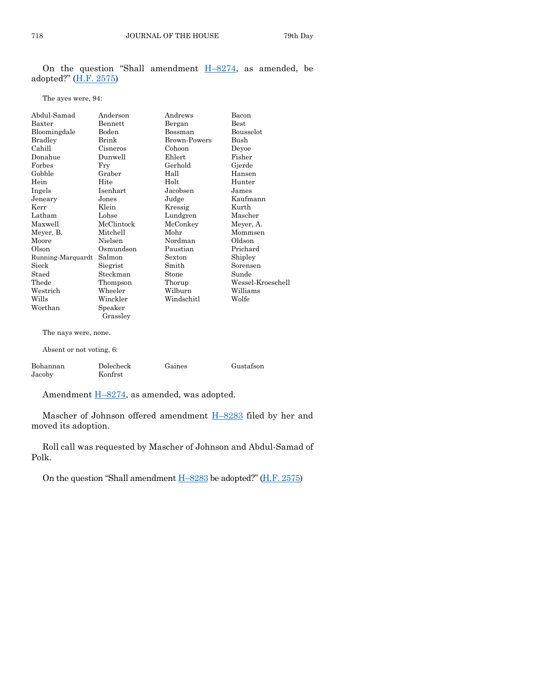On the question "Shall amendment  $H-8274$ , as amended, be adopted?" [\(H.F. 2575\)](https://www.legis.iowa.gov/legislation/BillBook?ga=89&ba=HF2575)

#### The ayes were, 94:

| Abdul-Samad              | Anderson       | Andrews      | Bacon             |
|--------------------------|----------------|--------------|-------------------|
| Baxter                   | <b>Bennett</b> | Bergan       | <b>Best</b>       |
| Bloomingdale             | Boden          | Bossman      | Bousselot         |
| Bradley                  | Brink          | Brown-Powers | Bush              |
| Cahill                   | Cisneros       | Cohoon       | Devoe             |
| Donahue                  | Dunwell        | Ehlert       | Fisher            |
| Forbes                   | Fry            | Gerhold      | Gjerde            |
| Gobble                   | Graber         | Hall         | Hansen            |
| Hein                     | Hite           | Holt         | Hunter            |
| Ingels                   | Isenhart       | Jacobsen     | James             |
| Jeneary                  | Jones          | Judge        | Kaufmann          |
| Kerr                     | Klein          | Kressig      | Kurth             |
| Latham                   | Lohse          | Lundgren     | Mascher           |
| Maxwell                  | McClintock     | McConkey     | Meyer, A.         |
| Meyer, B.                | Mitchell       | Mohr         | Mommsen           |
| Moore                    | Nielsen        | Nordman      | Oldson            |
| Olson                    | Osmundson      | Paustian     | Prichard          |
| Running-Marquardt        | Salmon         | Sexton       | Shipley           |
| Sieck                    | Siegrist       | Smith        | Sorensen          |
| Staed                    | Steckman       | Stone        | Sunde             |
| Thede                    | Thompson       | Thorup       | Wessel-Kroeschell |
| Westrich                 | Wheeler        | Wilburn      | Williams          |
| Wills                    | Winckler       | Windschitl   | Wolfe             |
| Worthan                  | Speaker        |              |                   |
|                          | Grassley       |              |                   |
| The nays were, none.     |                |              |                   |
| Absent or not voting, 6: |                |              |                   |
| Bohannan                 | Dolecheck      | Gaines       | Gustafson         |
| Jacoby                   | Konfrst        |              |                   |

Amendment H–[8274,](https://www.legis.iowa.gov/legislation/BillBook?ga=89&ba=H8274) as amended, was adopted.

Mascher of Johnson offered amendment H–[8283](https://www.legis.iowa.gov/legislation/BillBook?ga=89&ba=H8283) filed by her and moved its adoption.

Roll call was requested by Mascher of Johnson and Abdul-Samad of Polk.

On the question "Shall amendment  $H-8283$  $H-8283$  be adopted?" ( $H.F. 2575$ )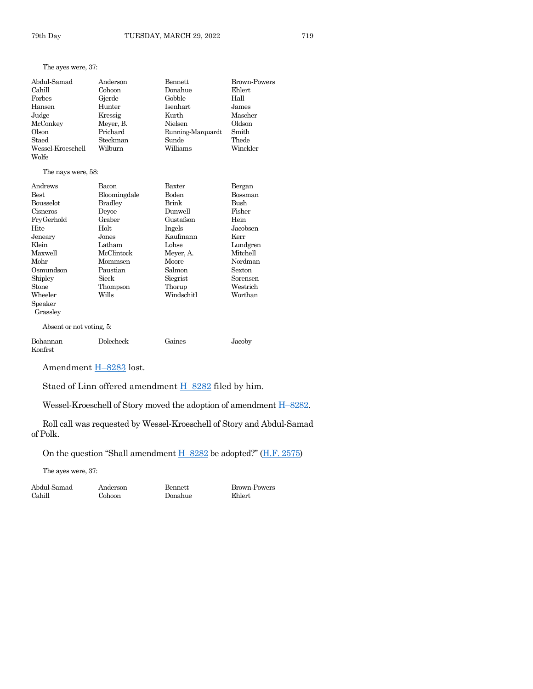#### The ayes were, 37:

| Abdul-Samad       | Anderson  | Bennett           | Brown-Powers |
|-------------------|-----------|-------------------|--------------|
| Cahill            | Cohoon    | Donahue           | Ehlert       |
| Forbes            | Gjerde    | Gobble            | Hall         |
| Hansen            | Hunter    | Isenhart          | James        |
| Judge             | Kressig   | Kurth             | Mascher      |
| McConkey          | Meyer, B. | Nielsen           | Oldson       |
| Olson             | Prichard  | Running-Marquardt | Smith        |
| Staed             | Steckman  | Sunde             | Thede        |
| Wessel-Kroeschell | Wilburn   | Williams          | Winckler     |
| Wolfe             |           |                   |              |

#### The nays were, 58:

| Andrews                  | Bacon          | Baxter     | Bergan   |
|--------------------------|----------------|------------|----------|
| Best                     | Bloomingdale   | Boden      | Bossman  |
| <b>Bousselot</b>         | <b>Bradley</b> | Brink      | Bush     |
| Cisneros                 | Devoe          | Dunwell    | Fisher   |
| FryGerhold               | Graber         | Gustafson  | Hein     |
| Hite                     | Holt           | Ingels     | Jacobsen |
| Jeneary                  | Jones          | Kaufmann   | Kerr     |
| Klein                    | Latham         | Lohse      | Lundgren |
| Maxwell                  | McClintock     | Meyer, A.  | Mitchell |
| Mohr                     | Mommsen        | Moore      | Nordman  |
| Osmundson                | Paustian       | Salmon     | Sexton   |
| Shipley                  | Sieck          | Siegrist   | Sorensen |
| Stone                    | Thompson       | Thorup     | Westrich |
| Wheeler                  | Wills          | Windschitl | Worthan  |
| Speaker                  |                |            |          |
| Grassley                 |                |            |          |
| Absent or not voting, 5: |                |            |          |
| Bohannan                 | Dolecheck      | Gaines     | Jacoby   |

Amendment H-[8283](https://www.legis.iowa.gov/legislation/BillBook?ga=89&ba=H8283) lost.

Staed of Linn offered amendment H–[8282](https://www.legis.iowa.gov/legislation/BillBook?ga=89&ba=H8282) filed by him.

Wessel-Kroeschell of Story moved the adoption of amendment  $H-8282$ .

Roll call was requested by Wessel-Kroeschell of Story and Abdul-Samad of Polk.

On the question "Shall amendment  $H-8282$  $H-8282$  be adopted?" ( $H.F. 2575$ )

The ayes were, 37:

Cahill Cohoon Donahue Ehlert

Konfrst

Abdul-Samad Anderson Bennett Brown-Powers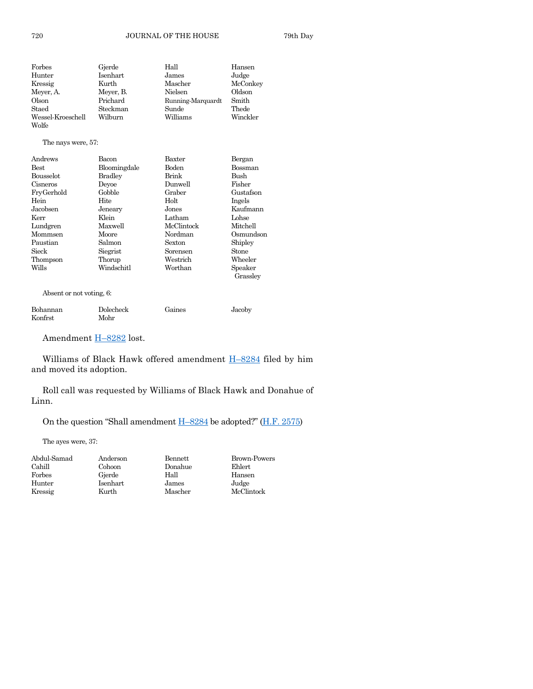| Forbes            | Gjerde    | Hall              | Hansen   |
|-------------------|-----------|-------------------|----------|
| Hunter            | Isenhart  | James             | Judge    |
| Kressig           | Kurth     | Mascher           | McConkey |
| Meyer, A.         | Meyer, B. | Nielsen           | Oldson   |
| Olson             | Prichard  | Running-Marquardt | Smith    |
| Staed             | Steckman  | Sunde             | Thede    |
| Wessel-Kroeschell | Wilburn   | Williams          | Winckler |
| Wolfe             |           |                   |          |

#### The nays were, 57:

| Andrews          | Bacon          | Baxter     | Bergan    |
|------------------|----------------|------------|-----------|
| Best             | Bloomingdale   | Boden      | Bossman   |
| <b>Bousselot</b> | <b>Bradley</b> | Brink      | Bush      |
| Cisneros         | Devoe          | Dunwell    | Fisher    |
| FryGerhold       | Gobble         | Graber     | Gustafson |
| Hein             | Hite           | Holt       | Ingels    |
| Jacobsen         | Jeneary        | Jones      | Kaufmann  |
| Kerr             | Klein          | Latham     | Lohse     |
| Lundgren         | Maxwell        | McClintock | Mitchell  |
| Mommsen          | Moore          | Nordman    | Osmundson |
| Paustian         | Salmon         | Sexton     | Shipley   |
| Sieck            | Siegrist       | Sorensen   | Stone     |
| Thompson         | Thorup         | Westrich   | Wheeler   |
| Wills            | Windschitl     | Worthan    | Speaker   |
|                  |                |            | Grasslev  |

Absent or not voting, 6:

| Bohannan | Dolecheck | Gaines | Jacoby |
|----------|-----------|--------|--------|
| Konfrst  | Mohr      |        |        |

Amendment H-[8282](https://www.legis.iowa.gov/legislation/BillBook?ga=89&ba=H8282) lost.

Williams of Black Hawk offered amendment  $H-8284$  $H-8284$  filed by him and moved its adoption.

Roll call was requested by Williams of Black Hawk and Donahue of Linn.

On the question "Shall amendment H–[8284](https://www.legis.iowa.gov/legislation/BillBook?ga=89&ba=H8284) be adopted?" ([H.F. 2575\)](https://www.legis.iowa.gov/legislation/BillBook?ga=89&ba=HF2575)

The ayes were, 37:

Cahill Cohoon Donahue Ehlert Forbes Gjerde Hall Hansen Hunter Isenhart James

Abdul-Samad Anderson Bennett Brown-Powers Kressig Kurth Mascher McClintock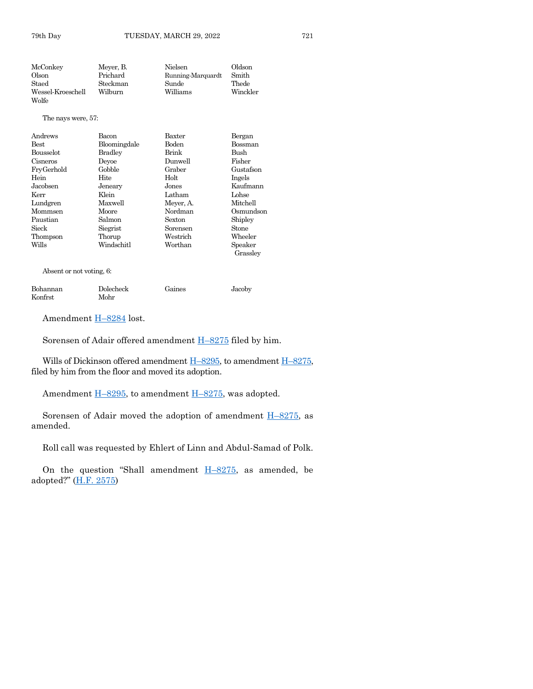| McConkey          | Meyer, B. | Nielsen           | Oldson   |
|-------------------|-----------|-------------------|----------|
| Olson             | Prichard  | Running-Marquardt | Smith    |
| Staed             | Steckman  | Sunde             | Thede    |
| Wessel-Kroeschell | Wilburn   | Williams          | Winckler |
| Wolfe             |           |                   |          |

The nays were, 57:

| Andrews          | Bacon          | <b>Baxter</b> | Bergan         |
|------------------|----------------|---------------|----------------|
| <b>Best</b>      | Bloomingdale   | Boden         | <b>Bossman</b> |
| <b>Bousselot</b> | <b>Bradley</b> | <b>Brink</b>  | Bush           |
| Cisneros         | Devoe          | Dunwell       | Fisher         |
| FryGerhold       | Gobble         | Graber        | Gustafson      |
| Hein             | Hite           | Holt          | Ingels         |
| Jacobsen         | Jeneary        | Jones         | Kaufmann       |
| Kerr             | Klein          | Latham        | Lohse          |
| Lundgren         | Maxwell        | Meyer, A.     | Mitchell       |
| Mommsen          | Moore          | Nordman       | Osmundson      |
| Paustian         | Salmon         | Sexton        | Shipley        |
| Sieck            | Siegrist       | Sorensen      | Stone          |
| Thompson         | Thorup         | Westrich      | Wheeler        |
| Wills            | Windschitl     | Worthan       | Speaker        |
|                  |                |               | Grassley       |

Absent or not voting, 6:

| Bohannan | Dolecheck | Gaines | Jacoby |
|----------|-----------|--------|--------|
| Konfrst  | Mohr      |        |        |

Amendment H–[8284](https://www.legis.iowa.gov/legislation/BillBook?ga=89&ba=H8284) lost.

Sorensen of Adair offered amendment H–[8275](https://www.legis.iowa.gov/legislation/BillBook?ga=89&ba=H8275) filed by him.

Wills of Dickinson offered amendment  $H-8295$ , to amendment  $H-8275$ , filed by him from the floor and moved its adoption.

Amendment  $\underline{H-8295}$ , to amendment  $\underline{H-8275}$ , was adopted.

Sorensen of Adair moved the adoption of amendment  $H-8275$ , as amended.

Roll call was requested by Ehlert of Linn and Abdul-Samad of Polk.

On the question "Shall amendment  $H-8275$ , as amended, be adopted?" ([H.F. 2575\)](https://www.legis.iowa.gov/legislation/BillBook?ga=89&ba=HF2575)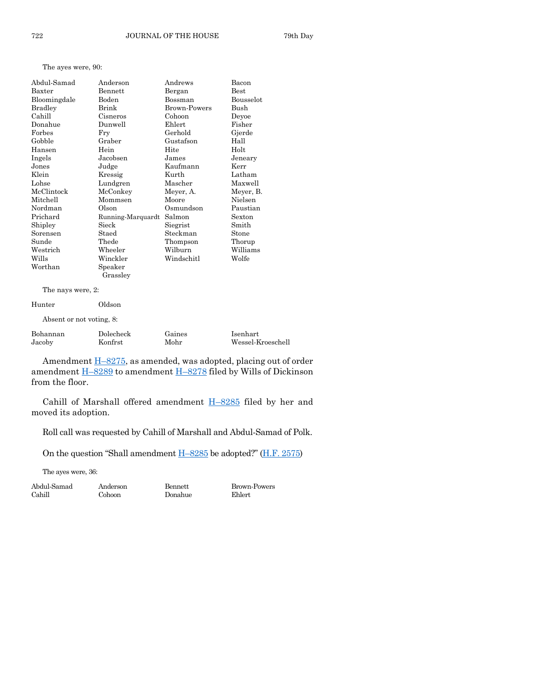#### The ayes were, 90:

| Abdul-Samad  | Anderson          | Andrews             | Bacon     |
|--------------|-------------------|---------------------|-----------|
| Baxter       | Bennett           | Bergan              | Best      |
| Bloomingdale | Boden             | Bossman             | Bousselot |
| Bradley      | Brink             | <b>Brown-Powers</b> | Bush      |
| Cahill       | Cisneros          | Cohoon              | Deyoe     |
| Donahue      | Dunwell           | Ehlert              | Fisher    |
| Forbes       | Fry               | Gerhold             | Gjerde    |
| Gobble       | Graber            | Gustafson           | Hall      |
| Hansen       | Hein              | Hite                | Holt      |
| Ingels       | Jacobsen          | James               | Jeneary   |
| Jones        | Judge             | Kaufmann            | Kerr      |
| Klein        | Kressig           | Kurth               | Latham    |
| Lohse        | Lundgren          | Mascher             | Maxwell   |
| McClintock   | McConkey          | Meyer, A.           | Meyer, B. |
| Mitchell     | Mommsen           | Moore               | Nielsen   |
| Nordman      | Olson             | Osmundson           | Paustian  |
| Prichard     | Running-Marquardt | Salmon              | Sexton    |
| Shipley      | Sieck             | Siegrist            | Smith     |
| Sorensen     | Staed             | Steckman            | Stone     |
| Sunde        | Thede             | Thompson            | Thorup    |
| Westrich     | Wheeler           | Wilburn             | Williams  |
| Wills        | Winckler          | Windschitl          | Wolfe     |
| Worthan      | Speaker           |                     |           |
|              | Grassley          |                     |           |
|              |                   |                     |           |

The nays were, 2:

| Hunter | Oldson                   |
|--------|--------------------------|
|        | Absent or not voting, 8: |

| Bohannan | Dolecheck | Gaines | Isenhart          |
|----------|-----------|--------|-------------------|
| Jacoby   | Konfrst   | Mohr   | Wessel-Kroeschell |

Amendment **H**-[8275,](https://www.legis.iowa.gov/legislation/BillBook?ga=89&ba=H8275) as amended, was adopted, placing out of order amendment H-[8289](https://www.legis.iowa.gov/legislation/BillBook?ga=89&ba=H8289) to amendment H-[8278](https://www.legis.iowa.gov/legislation/BillBook?ga=89&ba=H8278) filed by Wills of Dickinson from the floor.

Cahill of Marshall offered amendment H–[8285](https://www.legis.iowa.gov/legislation/BillBook?ga=89&ba=H8285) filed by her and moved its adoption.

Roll call was requested by Cahill of Marshall and Abdul-Samad of Polk.

On the question "Shall amendment  $H-8285$  $H-8285$  be adopted?" ( $H.F. 2575$ )

The ayes were, 36:

Abdul-Samad Anderson Bennett Brown-Powers Donahue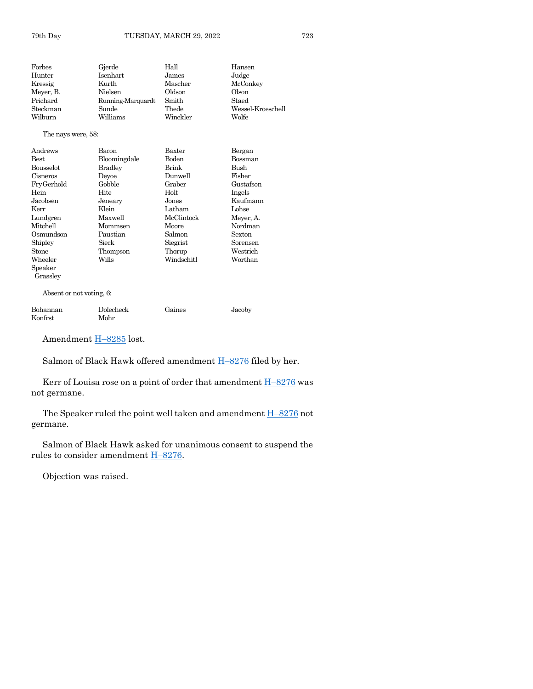| Forbes    | Gjerde            | Hall     | Hansen            |
|-----------|-------------------|----------|-------------------|
| Hunter    | Isenhart          | James    | Judge             |
| Kressig   | Kurth             | Mascher  | McConkey          |
| Mever, B. | Nielsen           | Oldson   | Olson             |
| Prichard  | Running-Marquardt | Smith    | Staed             |
| Steckman  | Sunde             | Thede    | Wessel-Kroeschell |
| Wilburn   | Williams          | Winckler | Wolfe             |
|           |                   |          |                   |

#### The nays were, 58:

| Andrews          | Bacon        | Baxter       | Bergan    |
|------------------|--------------|--------------|-----------|
| Best             | Bloomingdale | Boden        | Bossman   |
| <b>Bousselot</b> | Bradley      | <b>Brink</b> | Bush      |
| Cisneros         | Devoe        | Dunwell      | Fisher    |
| FryGerhold       | Gobble       | Graber       | Gustafson |
| Hein             | Hite         | Holt         | Ingels    |
| Jacobsen         | Jeneary      | Jones        | Kaufmann  |
| Kerr             | Klein        | Latham       | Lohse     |
| Lundgren         | Maxwell      | McClintock   | Meyer, A. |
| Mitchell         | Mommsen      | Moore        | Nordman   |
| Osmundson        | Paustian     | Salmon       | Sexton    |
| Shipley          | Sieck        | Siegrist     | Sorensen  |
| Stone            | Thompson     | Thorup       | Westrich  |
| Wheeler          | Wills        | Windschitl   | Worthan   |
| Speaker          |              |              |           |
| Grassley         |              |              |           |

Absent or not voting, 6:

| Bohannan | Dolecheck | Gaines | Jacoby |
|----------|-----------|--------|--------|
| Konfrst  | Mohr      |        |        |

Amendment H-[8285](https://www.legis.iowa.gov/legislation/BillBook?ga=89&ba=H8285) lost.

Salmon of Black Hawk offered amendment **H**-[8276](https://www.legis.iowa.gov/legislation/BillBook?ga=89&ba=H8276) filed by her.

Kerr of Louisa rose on a point of order that amendment  $H-8276$  $H-8276$  was not germane.

The Speaker ruled the point well taken and amendment H–[8276](https://www.legis.iowa.gov/legislation/BillBook?ga=89&ba=H8276) not germane.

Salmon of Black Hawk asked for unanimous consent to suspend the rules to consider amendment H–[8276.](https://www.legis.iowa.gov/legislation/BillBook?ga=89&ba=H8276)

Objection was raised.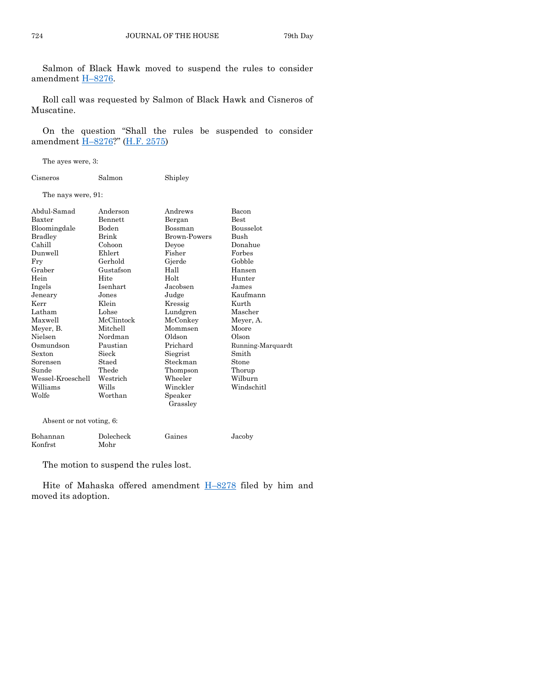Salmon of Black Hawk moved to suspend the rules to consider amendment H–[8276.](https://www.legis.iowa.gov/legislation/BillBook?ga=89&ba=H8276)

Roll call was requested by Salmon of Black Hawk and Cisneros of Muscatine.

On the question "Shall the rules be suspended to consider amendment H–[8276?](https://www.legis.iowa.gov/legislation/BillBook?ga=89&ba=H8276)" [\(H.F. 2575\)](https://www.legis.iowa.gov/legislation/BillBook?ga=89&ba=HF2575)

The ayes were, 3:

| Cisneros | Salmon | Shipley |
|----------|--------|---------|
|          |        |         |

The nays were, 91:

| Abdul-Samad              | Anderson   | Andrews             | Bacon             |
|--------------------------|------------|---------------------|-------------------|
| Baxter                   | Bennett    | Bergan              | $_{\rm Best}$     |
| Bloomingdale             | Boden      | Bossman             | Bousselot         |
| <b>Bradley</b>           | Brink      | <b>Brown-Powers</b> | Bush              |
| Cahill                   | Cohoon     | Deyoe               | Donahue           |
| Dunwell                  | Ehlert     | Fisher              | Forbes            |
| Fry                      | Gerhold    | Gjerde              | Gobble            |
| Graber                   | Gustafson  | Hall                | Hansen            |
| Hein                     | Hite       | Holt                | Hunter            |
| Ingels                   | Isenhart   | Jacobsen            | James             |
| Jeneary                  | Jones      | Judge               | Kaufmann          |
| Kerr                     | Klein      | Kressig             | Kurth             |
| Latham                   | Lohse      | Lundgren            | Mascher           |
| Maxwell                  | McClintock | McConkey            | Meyer, A.         |
| Meyer, B.                | Mitchell   | Mommsen             | Moore             |
| Nielsen                  | Nordman    | Oldson              | Olson             |
| Osmundson                | Paustian   | Prichard            | Running-Marquardt |
| Sexton                   | Sieck      | Siegrist            | Smith             |
| Sorensen                 | Staed      | Steckman            | Stone             |
| Sunde                    | Thede      | Thompson            | Thorup            |
| Wessel-Kroeschell        | Westrich   | Wheeler             | Wilburn           |
| Williams                 | Wills      | Winckler            | Windschitl        |
| Wolfe                    | Worthan    | Speaker             |                   |
|                          |            | Grassley            |                   |
| Absent or not voting, 6: |            |                     |                   |

| Bohannan | Dolecheck | Gaines | Jacoby |
|----------|-----------|--------|--------|
| Konfrst  | Mohr      |        |        |

The motion to suspend the rules lost.

Hite of Mahaska offered amendment **H-[8278](https://www.legis.iowa.gov/legislation/BillBook?ga=89&ba=H8278)** filed by him and moved its adoption.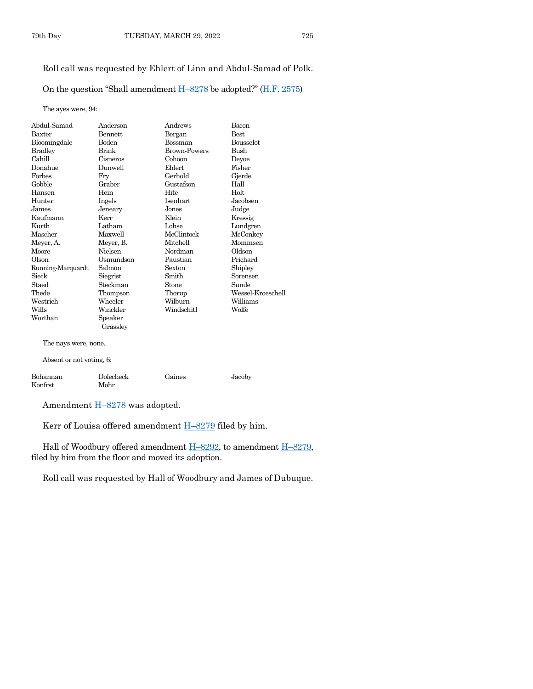# Roll call was requested by Ehlert of Linn and Abdul-Samad of Polk.

On the question "Shall amendment  $H-8278$  $H-8278$  be adopted?" ( $H.F. 2575$ )

The ayes were, 94:

| Abdul-Samad              | Anderson            | Andrews             | Bacon             |
|--------------------------|---------------------|---------------------|-------------------|
| Baxter                   | <b>Bennett</b>      | Bergan              | <b>Best</b>       |
| Bloomingdale             | <b>Boden</b>        | <b>Bossman</b>      | <b>Bousselot</b>  |
| <b>Bradley</b>           | Brink               | <b>Brown-Powers</b> | <b>Bush</b>       |
| Cahill                   | Cisneros            | Cohoon              | Deyoe             |
| Donahue                  | Dunwell             | Ehlert              | Fisher            |
| Forbes                   | Fry                 | Gerhold             | Gjerde            |
| Gobble                   | Graber              | Gustafson           | Hall              |
| Hansen                   | Hein                | Hite                | Holt              |
| Hunter                   | Ingels              | <b>Isenhart</b>     | Jacobsen          |
| James                    | Jeneary             | Jones               | Judge             |
| Kaufmann                 | Kerr                | Klein               | Kressig           |
| Kurth                    | Latham              | Lohse               | Lundgren          |
| Mascher                  | Maxwell             | McClintock          | McConkey          |
| Meyer, A.                | Meyer, B.           | Mitchell            | Mommsen           |
| Moore                    | Nielsen             | Nordman             | Oldson            |
| Olson                    | Osmundson           | Paustian            | Prichard          |
| Running-Marquardt        | Salmon              | Sexton              | Shipley           |
| Sieck                    | Siegrist            | Smith               | Sorensen          |
| Staed                    | Steckman            | Stone               | Sunde             |
| Thede                    | Thompson            | Thorup              | Wessel-Kroeschell |
| Westrich                 | Wheeler             | Wilburn             | Williams          |
| Wills                    | Winckler            | Windschitl          | Wolfe             |
| Worthan                  | Speaker<br>Grassley |                     |                   |
| The nays were, none.     |                     |                     |                   |
| Absent or not voting, 6: |                     |                     |                   |
| Bohannan<br>Konfrst      | Dolecheck<br>Mohr   | Gaines              | Jacoby            |
|                          |                     |                     |                   |

Amendment  $H=8278$  $H=8278$  was adopted.

Kerr of Louisa offered amendment H–[8279](https://www.legis.iowa.gov/legislation/BillBook?ga=89&ba=H8279) filed by him.

Hall of Woodbury offered amendment  $H-8292$ , to amendment  $H-8279$ , filed by him from the floor and moved its adoption.

Roll call was requested by Hall of Woodbury and James of Dubuque.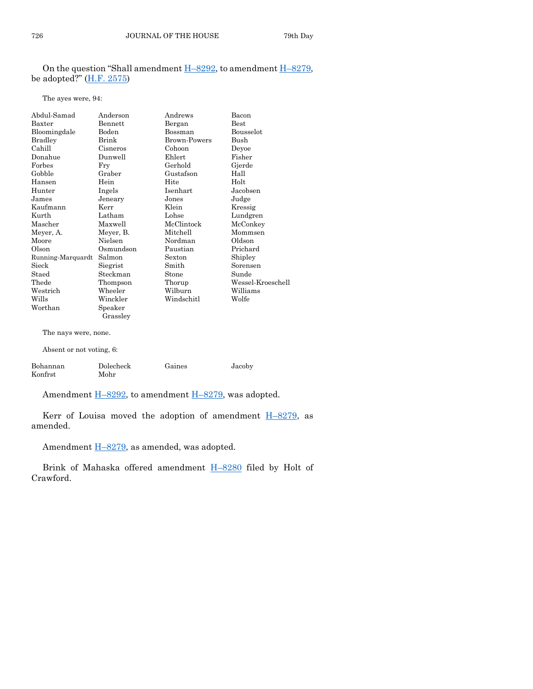## On the question "Shall amendment  $H-8292$ , to amendment  $H-8279$ , be adopted?"  $(\underline{H.F. 2575})$

#### The ayes were, 94:

| Abdul-Samad              | Anderson  | Andrews         | Bacon             |
|--------------------------|-----------|-----------------|-------------------|
| Baxter                   | Bennett   | Bergan          | Best              |
| Bloomingdale             | Boden     | Bossman         | Bousselot         |
| <b>Bradley</b>           | Brink     | Brown-Powers    | Bush              |
| Cahill                   | Cisneros  | Cohoon          | Deyoe             |
| Donahue                  | Dunwell   | Ehlert          | Fisher            |
| Forbes                   | Fry       | Gerhold         | Gjerde            |
| Gobble                   | Graber    | Gustafson       | Hall              |
| Hansen                   | Hein      | Hite            | Holt              |
| Hunter                   | Ingels    | <b>Isenhart</b> | Jacobsen          |
| James                    | Jeneary   | Jones           | Judge             |
| Kaufmann                 | Kerr      | Klein           | Kressig           |
| Kurth                    | Latham    | Lohse           | Lundgren          |
| Mascher                  | Maxwell   | McClintock      | McConkey          |
| Meyer, A.                | Meyer, B. | Mitchell        | Mommsen           |
| Moore                    | Nielsen   | Nordman         | Oldson            |
| Olson                    | Osmundson | Paustian        | Prichard          |
| Running-Marquardt        | Salmon    | Sexton          | Shipley           |
| Sieck                    | Siegrist  | Smith           | Sorensen          |
| Staed                    | Steckman  | Stone           | Sunde             |
| Thede                    | Thompson  | Thorup          | Wessel-Kroeschell |
| Westrich                 | Wheeler   | Wilburn         | Williams          |
| Wills                    | Winckler  | Windschitl      | Wolfe             |
| Worthan                  | Speaker   |                 |                   |
|                          | Grassley  |                 |                   |
| The nays were, none.     |           |                 |                   |
| Absent or not voting, 6: |           |                 |                   |

| Bohannan | Dolecheck | Gaines | Jacoby |
|----------|-----------|--------|--------|
| Konfrst  | Mohr      |        |        |

Amendment H–[8292,](https://www.legis.iowa.gov/legislation/BillBook?ga=89&ba=H8292) to amendment H–[8279,](https://www.legis.iowa.gov/legislation/BillBook?ga=89&ba=H8279) was adopted.

Kerr of Louisa moved the adoption of amendment  $H-8279$ , as amended.

Amendment H–[8279,](https://www.legis.iowa.gov/legislation/BillBook?ga=89&ba=H8279) as amended, was adopted.

Brink of Mahaska offered amendment **H-[8280](https://www.legis.iowa.gov/legislation/BillBook?ga=89&ba=H8280)** filed by Holt of Crawford.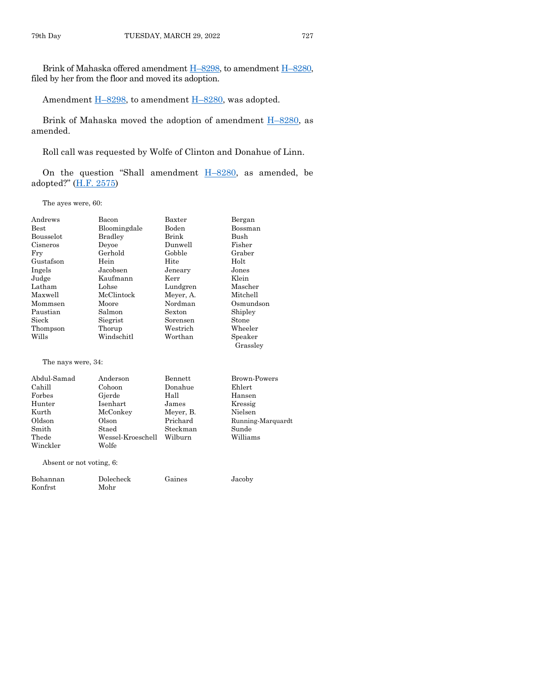Brink of Mahaska offered amendment H–[8298,](https://www.legis.iowa.gov/legislation/BillBook?ga=89&ba=H8298) to amendment H–[8280,](https://www.legis.iowa.gov/legislation/BillBook?ga=89&ba=H8280) filed by her from the floor and moved its adoption.

Amendment H-[8298,](https://www.legis.iowa.gov/legislation/BillBook?ga=89&ba=H8298) to amendment H-[8280,](https://www.legis.iowa.gov/legislation/BillBook?ga=89&ba=H8280) was adopted.

Brink of Mahaska moved the adoption of amendment H–[8280,](https://www.legis.iowa.gov/legislation/BillBook?ga=89&ba=H8280) as amended.

Roll call was requested by Wolfe of Clinton and Donahue of Linn.

On the question "Shall amendment  $H-8280$ , as amended, be adopted?" ([H.F. 2575\)](https://www.legis.iowa.gov/legislation/BillBook?ga=89&ba=HF2575)

The ayes were, 60:

| Andrews            | Bacon          | Baxter    | Bergan            |
|--------------------|----------------|-----------|-------------------|
| <b>Best</b>        | Bloomingdale   | Boden     | Bossman           |
| Bousselot          | <b>Bradley</b> | Brink     | Bush              |
| Cisneros           | Deyoe          | Dunwell   | Fisher            |
| Fry                | Gerhold        | Gobble    | Graber            |
| Gustafson          | Hein           | Hite      | Holt              |
| Ingels             | Jacobsen       | Jeneary   | Jones             |
| Judge              | Kaufmann       | Kerr      | Klein             |
| Latham             | Lohse          | Lundgren  | Mascher           |
| Maxwell            | McClintock     | Meyer, A. | Mitchell          |
| Mommsen            | Moore          | Nordman   | Osmundson         |
| Paustian           | Salmon         | Sexton    | Shipley           |
| Sieck              | Siegrist       | Sorensen  | Stone             |
| Thompson           | Thorup         | Westrich  | Wheeler           |
| Wills              | Windschitl     | Worthan   | Speaker           |
|                    |                |           | Grassley          |
| The nays were, 34: |                |           |                   |
| Abdul-Samad        | Anderson       | Bennett   | Brown-Powers      |
| Cahill             | Cohoon         | Donahue   | Ehlert            |
| Forbes             | Gjerde         | Hall      | Hansen            |
| Hunter             | Isenhart       | James     | Kressig           |
| Kurth              | McConkey       | Meyer, B. | Nielsen           |
| Oldson             | Olson          | Prichard  | Running-Marquardt |

Absent or not voting, 6:

Winckler Wolfe

| Bohannan | Dolecheck | Gaines | Jacoby |
|----------|-----------|--------|--------|
| Konfrst  | Mohr      |        |        |

Smith Staed Steckman Sunde Thede Wessel-Kroeschell Wilburn Williams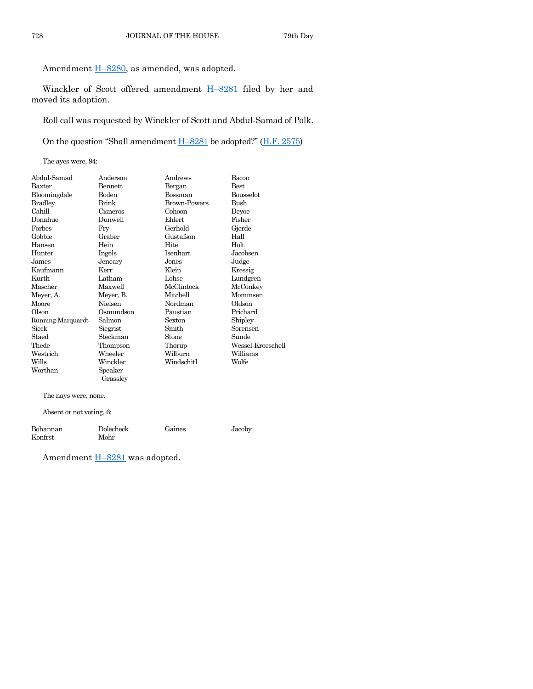Amendment  $H-8280$ , as amended, was adopted.

Winckler of Scott offered amendment H–[8281](https://www.legis.iowa.gov/legislation/BillBook?ga=89&ba=H8281) filed by her and moved its adoption.

Roll call was requested by Winckler of Scott and Abdul-Samad of Polk.

On the question "Shall amendment H–[8281](https://www.legis.iowa.gov/legislation/BillBook?ga=89&ba=H8281) be adopted?" ([H.F. 2575\)](https://www.legis.iowa.gov/legislation/BillBook?ga=89&ba=HF2575)

The ayes were, 94:

| Abdul-Samad       | Anderson  | Andrews             | Bacon             |
|-------------------|-----------|---------------------|-------------------|
| Baxter            | Bennett   | Bergan              | <b>Best</b>       |
| Bloomingdale      | Boden     | Bossman             | Bousselot         |
| <b>Bradley</b>    | Brink     | <b>Brown-Powers</b> | Bush              |
| Cahill            | Cisneros  | Cohoon              | Deyoe             |
| Donahue           | Dunwell   | Ehlert              | Fisher            |
| Forbes            | Fry       | Gerhold             | Gjerde            |
| Gobble            | Graber    | Gustafson           | Hall              |
| Hansen            | Hein      | Hite                | Holt              |
| Hunter            | Ingels    | Isenhart            | Jacobsen          |
| James             | Jeneary   | Jones               | Judge             |
| Kaufmann          | Kerr      | Klein               | Kressig           |
| Kurth             | Latham    | Lohse               | Lundgren          |
| Mascher           | Maxwell   | McClintock          | McConkey          |
| Meyer, A.         | Meyer, B. | Mitchell            | Mommsen           |
| Moore             | Nielsen   | Nordman             | Oldson            |
| Olson             | Osmundson | Paustian            | Prichard          |
| Running-Marquardt | Salmon    | Sexton              | Shipley           |
| Sieck             | Siegrist  | Smith               | Sorensen          |
| Staed             | Steckman  | Stone               | Sunde             |
| Thede             | Thompson  | Thorup              | Wessel-Kroeschell |
| Westrich          | Wheeler   | Wilburn             | Williams          |
| Wills             | Winckler  | Windschitl          | Wolfe             |
| Worthan           | Speaker   |                     |                   |
|                   | Grasslev  |                     |                   |

The nays were, none.

Absent or not voting, 6:

| Bohannan | Dolecheck | Gaines | Jacoby |
|----------|-----------|--------|--------|
| Konfrst  | Mohr      |        |        |

Amendment **H**-[8281](https://www.legis.iowa.gov/legislation/BillBook?ga=89&ba=H8281) was adopted.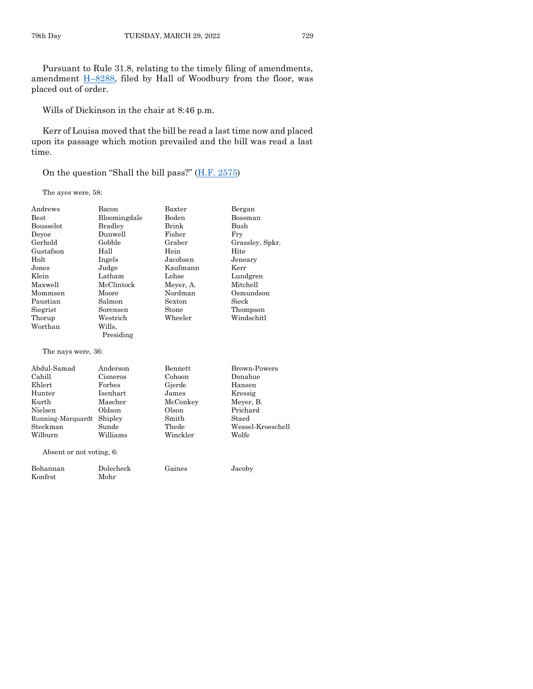Pursuant to Rule 31.8, relating to the timely filing of amendments, amendment  $\underline{H-8288}$ , filed by Hall of Woodbury from the floor, was placed out of order.

Wills of Dickinson in the chair at 8:46 p.m.

Kerr of Louisa moved that the bill be read a last time now and placed upon its passage which motion prevailed and the bill was read a last time.

On the question "Shall the bill pass?" ([H.F. 2575\)](https://www.legis.iowa.gov/legislation/BillBook?ga=89&ba=HF2575)

The ayes were, 58:

| Andrews                  | Bacon           | Baxter    | Bergan            |
|--------------------------|-----------------|-----------|-------------------|
| <b>Best</b>              | Bloomingdale    | Boden     | Bossman           |
| Bousselot                | <b>Bradley</b>  | Brink     | <b>Bush</b>       |
| Deyoe                    | Dunwell         | Fisher    | Fry               |
| Gerhold                  | Gobble          | Graber    | Grassley, Spkr.   |
| Gustafson                | Hall            | Hein      | Hite              |
| Holt                     | Ingels          | Jacobsen  | Jeneary           |
| Jones                    | Judge           | Kaufmann  | Kerr              |
| Klein                    | Latham          | Lohse     | Lundgren          |
| Maxwell                  | McClintock      | Meyer, A. | Mitchell          |
| Mommsen                  | Moore           | Nordman   | Osmundson         |
| Paustian                 | Salmon          | Sexton    | Sieck             |
| Siegrist                 | Sorensen        | Stone     | Thompson          |
| Thorup                   | Westrich        | Wheeler   | Windschitl        |
| Worthan                  | Wills.          |           |                   |
|                          | Presiding       |           |                   |
| The nays were, 36:       |                 |           |                   |
| Abdul-Samad              | Anderson        | Bennett   | Brown-Powers      |
| Cahill                   | Cisneros        | Cohoon    | Donahue           |
| Ehlert                   | Forbes          | Gjerde    | Hansen            |
| Hunter                   | <b>Isenhart</b> | James     | Kressig           |
| Kurth                    | Mascher         | McConkey  | Meyer, B.         |
| Nielsen                  | Oldson          | Olson     | Prichard          |
| Running-Marquardt        | Shipley         | Smith     | Staed             |
| Steckman                 | Sunde           | Thede     | Wessel-Kroeschell |
| Wilburn                  | Williams        | Winckler  | Wolfe             |
| Absent or not voting, 6: |                 |           |                   |

| Bohannan | Dolecheck | Gaines | Jacoby |
|----------|-----------|--------|--------|
| Konfrst  | Mohr      |        |        |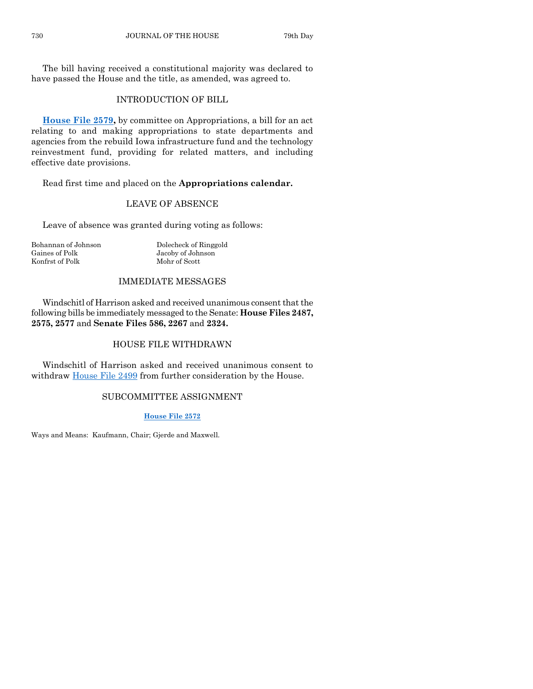The bill having received a constitutional majority was declared to have passed the House and the title, as amended, was agreed to.

# INTRODUCTION OF BILL

**[House File 2579,](https://www.legis.iowa.gov/legislation/BillBook?ga=89&ba=HF2579)** by committee on Appropriations, a bill for an act relating to and making appropriations to state departments and agencies from the rebuild Iowa infrastructure fund and the technology reinvestment fund, providing for related matters, and including effective date provisions.

Read first time and placed on the **Appropriations calendar.**

# LEAVE OF ABSENCE

Leave of absence was granted during voting as follows:

Bohannan of Johnson Dolecheck of Ringgold Gaines of Polk Jacoby of Johnson Konfrst of Polk Mohr of Scott

## IMMEDIATE MESSAGES

Windschitl of Harrison asked and received unanimous consent that the following bills be immediately messaged to the Senate: **House Files 2487, 2575, 2577** and **Senate Files 586, 2267** and **2324.**

# HOUSE FILE WITHDRAWN

Windschitl of Harrison asked and received unanimous consent to withdraw [House File 2499](https://www.legis.iowa.gov/legislation/BillBook?ga=89&ba=HF2499) from further consideration by the House.

# SUBCOMMITTEE ASSIGNMENT

#### **[House File 2572](https://www.legis.iowa.gov/legislation/BillBook?ga=89&ba=HF2572)**

Ways and Means: Kaufmann, Chair; Gjerde and Maxwell.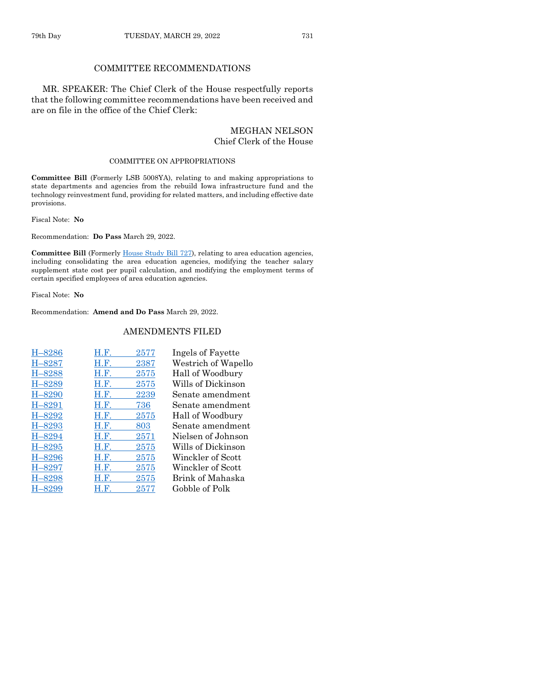#### COMMITTEE RECOMMENDATIONS

MR. SPEAKER: The Chief Clerk of the House respectfully reports that the following committee recommendations have been received and are on file in the office of the Chief Clerk:

#### MEGHAN NELSON Chief Clerk of the House

#### COMMITTEE ON APPROPRIATIONS

**Committee Bill** (Formerly LSB 5008YA), relating to and making appropriations to state departments and agencies from the rebuild Iowa infrastructure fund and the technology reinvestment fund, providing for related matters, and including effective date provisions.

Fiscal Note: **No**

Recommendation: **Do Pass** March 29, 2022.

Committee Bill (Formerly [House Study Bill 727\)](https://www.legis.iowa.gov/legislation/BillBook?ga=89&ba=HSB727), relating to area education agencies, including consolidating the area education agencies, modifying the teacher salary supplement state cost per pupil calculation, and modifying the employment terms of certain specified employees of area education agencies.

Fiscal Note: **No**

Recommendation: **Amend and Do Pass** March 29, 2022.

#### AMENDMENTS FILED

| H-8286     | H.F. | 2577 | Ingels of Fayette   |
|------------|------|------|---------------------|
| H-8287     | H.F. | 2387 | Westrich of Wapello |
| H-8288     | H.F. | 2575 | Hall of Woodbury    |
| H-8289     | H.F. | 2575 | Wills of Dickinson  |
| $H - 8290$ | H.F. | 2239 | Senate amendment    |
| $H - 8291$ | H.F. | 736  | Senate amendment    |
| H-8292     | H.F. | 2575 | Hall of Woodbury    |
| $H - 8293$ | H.F. | 803  | Senate amendment    |
| $H - 8294$ | H.F. | 2571 | Nielsen of Johnson  |
| $H - 8295$ | H.F. | 2575 | Wills of Dickinson  |
| $H - 8296$ | H.F. | 2575 | Winckler of Scott   |
| $H - 8297$ | H.F. | 2575 | Winckler of Scott   |
| H-8298     | H.F. | 2575 | Brink of Mahaska    |
| -8299      | H.F. | 2577 | Gobble of Polk      |
|            |      |      |                     |